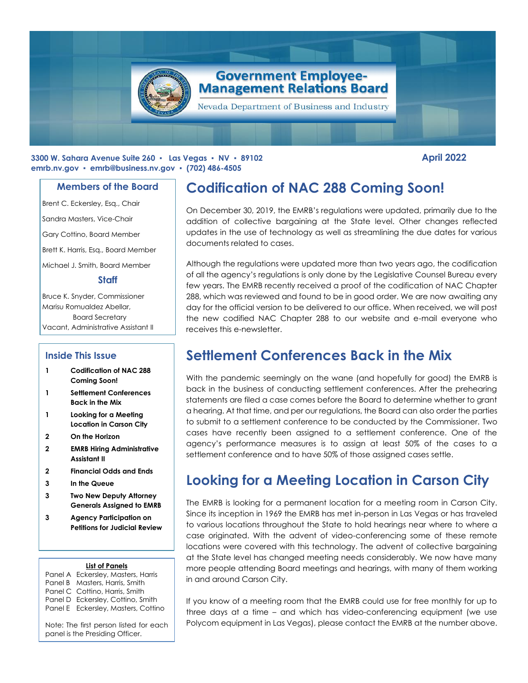

#### **3300 W. Sahara Avenue Suite 260 ▪ Las Vegas ▪ NV ▪ 89102 April 2022 emrb.nv.gov ▪ [emrb@business.nv.gov](mailto:emrb@business.nv.gov) ▪ (702) 486-4505**

### **Members of the Board**

Brent C. Eckersley, Esq., Chair

Sandra Masters, Vice-Chair

Gary Cottino, Board Member

Brett K. Harris, Esq., Board Member

Michael J. Smith, Board Member

#### **Staff**

Bruce K. Snyder, Commissioner Marisu Romualdez Abellar, Board Secretary Vacant, Administrative Assistant II

### **Inside This Issue**

- **1 Codification of NAC 288 Coming Soon!**
- **1 Settlement Conferences Back in the Mix**
- **1 Looking for a Meeting Location in Carson City**
- **2 On the Horizon**
- **2 EMRB Hiring Administrative Assistant II**
- **2 Financial Odds and Ends**
- **3 In the Queue**
- **3 Two New Deputy Attorney Generals Assigned to EMRB**
- **3 Agency Participation on Petitions for Judicial Review**

#### **List of Panels**

Panel A Eckersley, Masters, Harris Panel B Masters, Harris, Smith Panel C Cottino, Harris, Smith Panel D Eckersley, Cottino, Smith Panel E Eckersley, Masters, Cottino

Note: The first person listed for each panel is the Presiding Officer.

# **Codification of NAC 288 Coming Soon!**

On December 30, 2019, the EMRB's regulations were updated, primarily due to the addition of collective bargaining at the State level. Other changes reflected updates in the use of technology as well as streamlining the due dates for various documents related to cases.

Although the regulations were updated more than two years ago, the codification of all the agency's regulations is only done by the Legislative Counsel Bureau every few years. The EMRB recently received a proof of the codification of NAC Chapter 288, which was reviewed and found to be in good order. We are now awaiting any day for the official version to be delivered to our office. When received, we will post the new codified NAC Chapter 288 to our website and e-mail everyone who receives this e-newsletter.

## **Settlement Conferences Back in the Mix**

With the pandemic seemingly on the wane (and hopefully for good) the EMRB is back in the business of conducting settlement conferences. After the prehearing statements are filed a case comes before the Board to determine whether to grant a hearing. At that time, and per our regulations, the Board can also order the parties to submit to a settlement conference to be conducted by the Commissioner. Two cases have recently been assigned to a settlement conference. One of the agency's performance measures is to assign at least 50% of the cases to a settlement conference and to have 50% of those assigned cases settle.

# **Looking for a Meeting Location in Carson City**

The EMRB is looking for a permanent location for a meeting room in Carson City. Since its inception in 1969 the EMRB has met in-person in Las Vegas or has traveled to various locations throughout the State to hold hearings near where to where a case originated. With the advent of video-conferencing some of these remote locations were covered with this technology. The advent of collective bargaining at the State level has changed meeting needs considerably. We now have many more people attending Board meetings and hearings, with many of them working in and around Carson City.

If you know of a meeting room that the EMRB could use for free monthly for up to three days at a time – and which has video-conferencing equipment (we use Polycom equipment in Las Vegas), please contact the EMRB at the number above.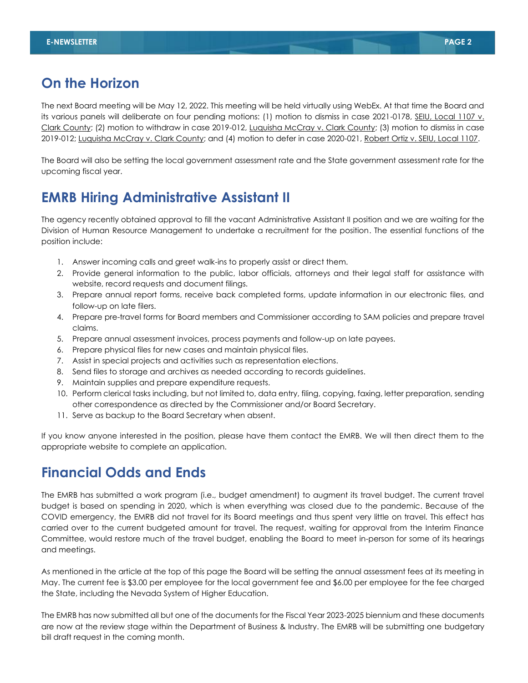## **On the Horizon**

The next Board meeting will be May 12, 2022. This meeting will be held virtually using WebEx. At that time the Board and its various panels will deliberate on four pending motions: (1) motion to dismiss in case 2021-0178, SEIU, Local 1107 v. Clark County; (2) motion to withdraw in case 2019-012, Luquisha McCray v. Clark County; (3) motion to dismiss in case 2019-012; Luquisha McCray v. Clark County; and (4) motion to defer in case 2020-021, Robert Ortiz v. SEIU, Local 1107.

The Board will also be setting the local government assessment rate and the State government assessment rate for the upcoming fiscal year.

## **EMRB Hiring Administrative Assistant II**

The agency recently obtained approval to fill the vacant Administrative Assistant II position and we are waiting for the Division of Human Resource Management to undertake a recruitment for the position. The essential functions of the position include:

- 1. Answer incoming calls and greet walk-ins to properly assist or direct them.
- 2. Provide general information to the public, labor officials, attorneys and their legal staff for assistance with website, record requests and document filings.
- 3. Prepare annual report forms, receive back completed forms, update information in our electronic files, and follow-up on late filers.
- 4. Prepare pre-travel forms for Board members and Commissioner according to SAM policies and prepare travel claims.
- 5. Prepare annual assessment invoices, process payments and follow-up on late payees.
- 6. Prepare physical files for new cases and maintain physical files.
- 7. Assist in special projects and activities such as representation elections.
- 8. Send files to storage and archives as needed according to records guidelines.
- 9. Maintain supplies and prepare expenditure requests.
- 10. Perform clerical tasks including, but not limited to, data entry, filing, copying, faxing, letter preparation, sending other correspondence as directed by the Commissioner and/or Board Secretary.
- 11. Serve as backup to the Board Secretary when absent.

If you know anyone interested in the position, please have them contact the EMRB. We will then direct them to the appropriate website to complete an application.

## **Financial Odds and Ends**

The EMRB has submitted a work program (i.e., budget amendment) to augment its travel budget. The current travel budget is based on spending in 2020, which is when everything was closed due to the pandemic. Because of the COVID emergency, the EMRB did not travel for its Board meetings and thus spent very little on travel. This effect has carried over to the current budgeted amount for travel. The request, waiting for approval from the Interim Finance Committee, would restore much of the travel budget, enabling the Board to meet in-person for some of its hearings and meetings.

As mentioned in the article at the top of this page the Board will be setting the annual assessment fees at its meeting in May. The current fee is \$3.00 per employee for the local government fee and \$6.00 per employee for the fee charged the State, including the Nevada System of Higher Education.

The EMRB has now submitted all but one of the documents for the Fiscal Year 2023-2025 biennium and these documents are now at the review stage within the Department of Business & Industry. The EMRB will be submitting one budgetary bill draft request in the coming month.